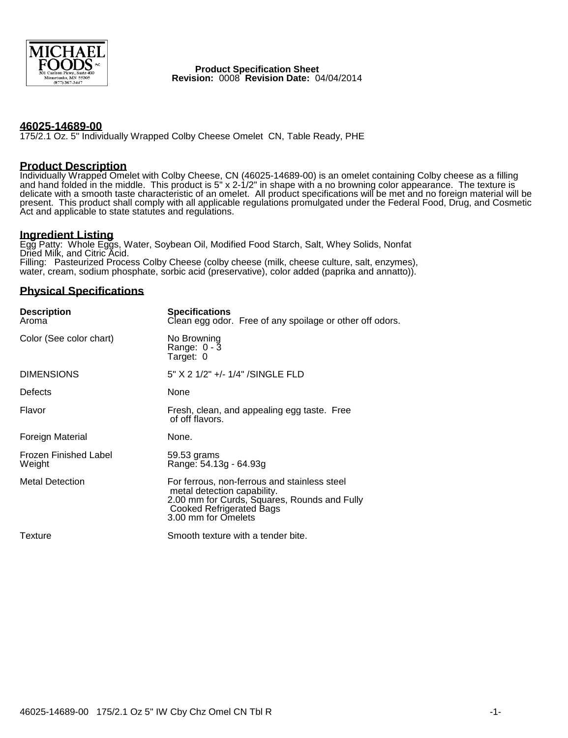

 **Product Specification Sheet Revision:** 0008 **Revision Date:** 04/04/2014

## **46025-14689-00**

175/2.1 Oz. 5" Individually Wrapped Colby Cheese Omelet CN, Table Ready, PHE

### **Product Description**

Individually Wrapped Omelet with Colby Cheese, CN (46025-14689-00) is an omelet containing Colby cheese as a filling and hand folded in the middle. This product is 5" x 2-1/2" in shape with a no browning color appearance. The texture is delicate with a smooth taste characteristic of an omelet. All product specifications will be met and no foreign material will be present. This product shall comply with all applicable regulations promulgated under the Federal Food, Drug, and Cosmetic Act and applicable to state statutes and regulations.

### **Ingredient Listing**

Egg Patty: Whole Eggs, Water, Soybean Oil, Modified Food Starch, Salt, Whey Solids, Nonfat Dried Milk, and Citric Acid. Filling: Pasteurized Process Colby Cheese (colby cheese (milk, cheese culture, salt, enzymes), water, cream, sodium phosphate, sorbic acid (preservative), color added (paprika and annatto)).

# **Physical Specifications**

| <b>Description</b><br>Aroma     | <b>Specifications</b><br>Clean egg odor. Free of any spoilage or other off odors.                                                                                                     |
|---------------------------------|---------------------------------------------------------------------------------------------------------------------------------------------------------------------------------------|
| Color (See color chart)         | No Browning<br>Range: 0 - 3<br>Target: 0                                                                                                                                              |
| <b>DIMENSIONS</b>               | 5" X 2 1/2" +/- 1/4" /SINGLE FLD                                                                                                                                                      |
| Defects                         | None                                                                                                                                                                                  |
| Flavor                          | Fresh, clean, and appealing egg taste. Free<br>of off flavors.                                                                                                                        |
| Foreign Material                | None.                                                                                                                                                                                 |
| Frozen Finished Label<br>Weight | 59.53 grams<br>Range: 54.13g - 64.93g                                                                                                                                                 |
| <b>Metal Detection</b>          | For ferrous, non-ferrous and stainless steel<br>metal detection capability.<br>2.00 mm for Curds, Squares, Rounds and Fully<br><b>Cooked Refrigerated Bags</b><br>3.00 mm for Omelets |
| Texture                         | Smooth texture with a tender bite.                                                                                                                                                    |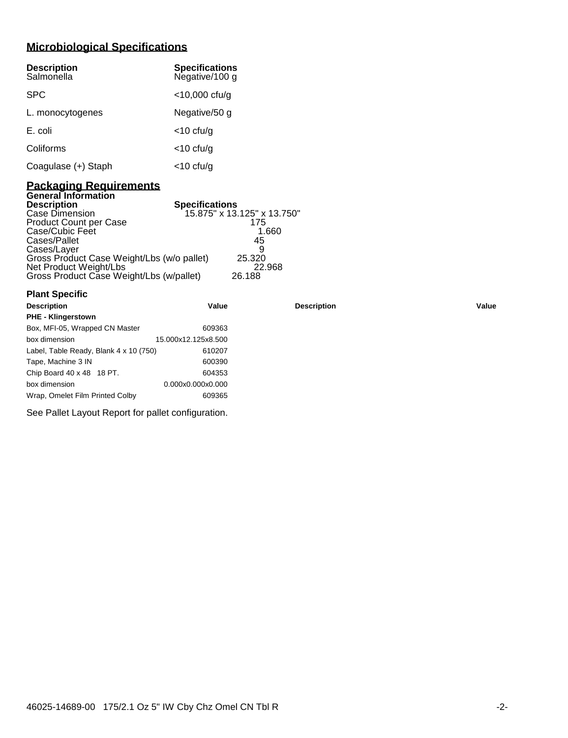# **Microbiological Specifications**

| <b>Description</b><br>Salmonella | <b>Specifications</b><br>Negative/100 g |
|----------------------------------|-----------------------------------------|
| <b>SPC</b>                       | $<$ 10,000 cfu/g                        |
| L. monocytogenes                 | Negative/50 g                           |
| E. coli                          | <10 cfu/g                               |
| Coliforms                        | $<$ 10 cfu/g                            |
| Coagulase (+) Staph              | <10 cfu/g                               |

# **Packaging Requirements General Information**

| <b>Description</b>                         | <b>Specifications</b>       |
|--------------------------------------------|-----------------------------|
| Case Dimension                             | 15.875" x 13.125" x 13.750" |
| <b>Product Count per Case</b>              | 175                         |
| Case/Cubic Feet                            | 1.660                       |
| Cases/Pallet                               | 45                          |
| Cases/Layer                                |                             |
| Gross Product Case Weight/Lbs (w/o pallet) | 25.320                      |
| Net Product Weight/Lbs                     | 22.968                      |
| Gross Product Case Weight/Lbs (w/pallet)   | 26.188                      |

| <b>Plant Specific</b>                  |                     |                    |       |
|----------------------------------------|---------------------|--------------------|-------|
| <b>Description</b>                     | Value               | <b>Description</b> | Value |
| <b>PHE - Klingerstown</b>              |                     |                    |       |
| Box, MFI-05, Wrapped CN Master         | 609363              |                    |       |
| box dimension                          | 15.000x12.125x8.500 |                    |       |
| Label, Table Ready, Blank 4 x 10 (750) | 610207              |                    |       |
| Tape, Machine 3 IN                     | 600390              |                    |       |
| Chip Board 40 x 48 18 PT.              | 604353              |                    |       |
| box dimension                          | 0.000x0.000x0.000   |                    |       |
| Wrap, Omelet Film Printed Colby        | 609365              |                    |       |

See Pallet Layout Report for pallet configuration.